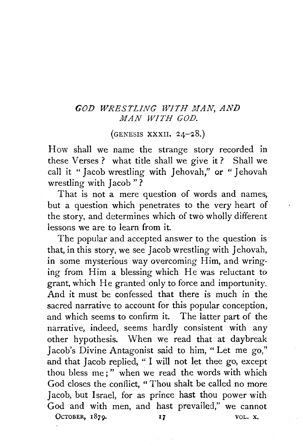## *GOD WRESTLING WITH MAN, AND MAN WITH GOD.*

 $(GENESIS XXXII. 24-28.)$ 

How shall we name the strange story recorded in these Verses ? what title shall we give it ? Shall we call it " Jacob wrestling with Jehovah," or " Jehovah wrestling with Jacob "?

That is not a mere question of words and names, but a question which penetrates to the very heart of the story, and determines which of two wholly different lessons we are to learn from it.

The popular and accepted answer to the question is that, in this story, we see Jacob wrestling with Jehovah, in some mysterious way overcoming Him, and wringing from Him a blessing which He was reluctant *to*  grant, which He granted·only to force and importunity. And it must be confessed that there is much in the sacred narrative to account for this popular conception, and which seems to confirm it. The latter part of the narrative, indeed, seems hardly consistent with any other hypothesis. When we read that at daybreak Jacob's Divine Antagonist said to him, "Let me go," and that Jacob replied, " I will not let thee go, except thou bless me;" when we read the words with which God closes the conflict, " Thou shalt be called no more Jacob, but Israel, for as prince hast thou power with God and with men, and hast prevailed," we cannot OCTOBER, 1879.  $17$ VOL. X.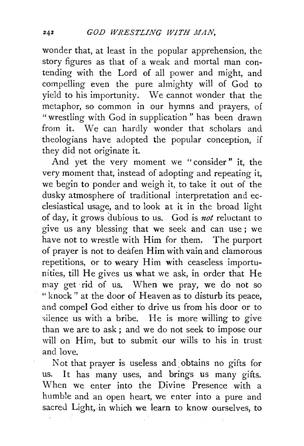wonder that, at least in the popular apprehension, the story figures as that of a weak and mortal man contending with the Lord of all power and might, and compelling even the pure almighty will of God to yield to his importunity. We cannot wonder that the metaphor, so common in our hymns and prayers, of "wrestling with God in supplication " has been drawn from it. We can hardly wonder that scholars and theologians have adopted the popular conception, if they did not originate it.

And yet the very moment we "consider" it, the very moment that, instead of adopting and repeating it, we begin to ponder and weigh it, to take it out of the dusky atmosphere of traditional interpretation and ecclesiastical usage, and to look at it in the broad light of day, it grows dubious to us. God is *not* reluctant to give us any blessing that we seek and can use ; we have not to wrestle with Him for them. The purport of prayer is not to deafen Him with vain and clamorous repetitions, or to weary Him with ceaseless importunities, till He gives us what we ask, in order that He may get rid of us. When we pray, we do not so "knock'' at the door of Heaven as to disturb its peace, and compel God either fo drive us from his door or to silence us with a bribe. He is more willing to give than we are to ask; and we do not seek to impose our will on Him, but to submit our wills to his in trust and love.

Not that prayer is useless and. obtains no gifts for us. It has many uses, and brings us many gifts. When we enter into the Divine Presence with a humble and an open heart, we enter into a pure and sacred Light, in which we learn to know ourselves, to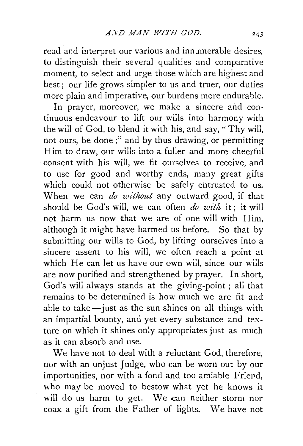read and interpret our various and innumerable desires, to distinguish their several qualities and comparative moment, to select and urge those which are highest and best; our life grows simpler to us and truer, our duties more plain and imperative, our burdens more endurable.

In prayer, moreover, we make a sincere and continuous endeavour to lift our wills into harmony with the will of God, to blend it with his, and say, "Thy will, not ours, be done;" and by thus drawing, or permitting Him to draw, our wills into a fuller and more cheerful consent with his will, we fit ourselves to receive, and to use for good and worthy ends, many great gifts which could not otherwise be safely entrusted to us. When we ·can *do without* any outward good, if that should be God's will, we can often *do with* it; it will not harm us now that we are of one will with Him, although it might have harmed us before. So that by submitting our wills to God, by lifting ourselves into a sincere assent to his will, we often reach a point at which He can let us have our own will, since our wills are now purified and strengthened by prayer. In short, God's will always stands at the giving-point ; all that remains to be determined is how much we are fit and able to take $-$ just as the sun shines on all things with an impartial bounty, and yet every substance and texture on which it shines only appropriates just as much as it can absorb and use.

We have not to deal with a reluctant God, therefore, nor with an unjust Judge, who can be worn out by our importunities, nor with a fond and too amiable Friend, who may be moved to bestow what yet he knows it will do us harm to get. We can neither storm nor coax a gift from the Father of lights. \Ve have not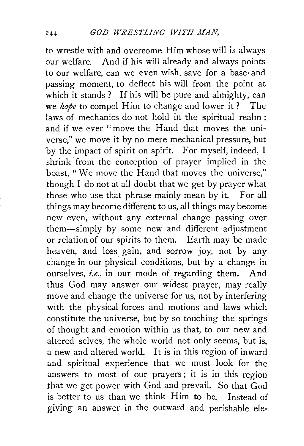to wrestle with and overcome Him whose will is always our welfare. And if his will already and always points to our welfare, can we even wish, save for a base· and passing moment, to deflect his will from the point at which it stands ? If his will be pure and almighty, can we *hope* to compel Him to change and lower it? The laws of mechanics do not hold in the spiritual realm ; and if we ever "move the Hand that moves the universe," we move it by no mere mechanical pressure, but by the impact of spirit on spirit. For myself, indeed, I shrink, from the conception of prayer implied in the boast, "We move the Hand that moves the universe," though I do not at all doubt that we get by prayer what those who use that phrase mainly mean by it. For all things may become different to us, all things may become new even, without any external change passing over them-simply by some new and different adjustment or relation of our spirits to them. Earth may be made heaven, and loss gain, and sorrow joy, not by any change in our physical conditions, but by a change in ourselves, *i.e.,* in our mode of regarding them. And thus God may answer our widest prayer, may really move and change the universe for us, not by interfering with the physical forces and motions and laws which constitute the universe, but by so touching the springs of thought and emotion within us that, to our new and altered selves, the whole world not only seems, but is, a new and altered world. It is in this region of inward and spiritual experience that we must look for the answers to most of our prayers; it is in this region that we get power with God and prevail. So that God is better to us than we think Him to be. Instead of giving an answer in the outward and perishable ele-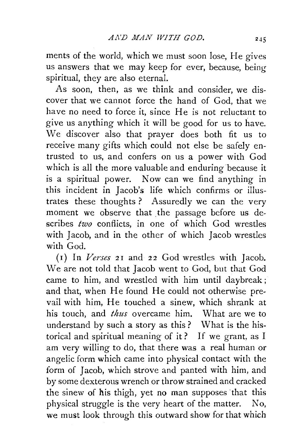ments of the world, which we must soon lose, He gives us answers that we may keep for ever, because, being spiritual, they are also eternal.

As soon, then, as we think and consider, we discover that we cannot force the hand of God, that we have no need to force it, since He is not reluctant to give us anything which it will be good for us to have. We discover also that prayer does both fit us to receive many gifts which could not else be safely entrusted to us, and confers on us a power with God which is all the more valuable and enduring because it is a spiritual power. Now can we find anything in this incident in Jacob's life which confirms or illustrates these thoughts ? Assuredly we can the very moment we observe that the passage before us describes *two* conflicts, in one of which God wrestles with Jacob, and in the other of which Jacob wrestles with God.

(1) In *Verses* 21 and 22 God wrestles with Jacob. We are not told that Jacob went to God, but that God came to him, and wrestled with him until daybreak ; and that, when He found He could not otherwise prevail with him, He touched a sinew, which shrank at his touch, and *thus* overcame him. What are we to understand by such a story as this? What is the historical and spiritual meaning of it ? If we grant, as I am very willing to do, that there was a real human or angelic form which came into physical contact with the form of Jacob, which strove and panted with him, and by some dexterous wrench or throw strained and cracked the sinew of his thigh, yet no man supposes that this physical struggle is the very heart of the matter. No, we must look through this outward show for that which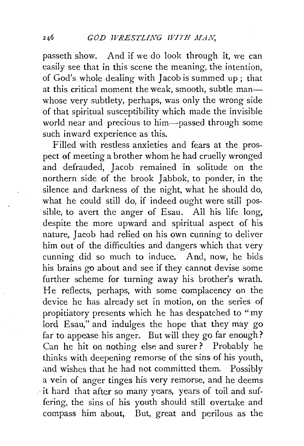passeth show. And if we do look through it, we can easily see that in this scene the meaning, the intention, of God's whole dealing with Jacob is summed up; that at this critical moment the weak, smooth, subtle manwhose very subtlety, perhaps, was only the wrong side of that spiritual susceptibility which made the invisible world near and precious to him-passed through some such inward experience as this.

Filled with restless anxieties and fears at the prospect of meeting a brother whom he had cruelly wronged and defrauded, Jacob remained in solitude on the northern side of the brook Jabbok, to ponder, in the silence and darkness of the night, what he should do, what he could still do, if indeed ought were still possible, to avert the anger of Esau. All his life long, despite the more upward and spiritual aspect of his nature, Jacob had relied on his own cunning to deliver him out of the difficulties and dangers which that very cunning did so much to induce. And, now, he bids his brains go about and see if they cannot devise some further scheme for turning away his brother's wrath. He reflects, perhaps, with some complacency on the device he has already set in motion, on the series of propitiatory presents which he has despatched to "my lord Esau," and indulges the hope that they may go far to appease his anger. But will they go far enough? Can he hit on nothing else and surer? Probably he thinks with deepening remorse of the sins of his youth, and wishes that he had not committed them. Possibly a vein of anger tinges his very remorse, and he deems . -it hard that after so many years, years of toil and suffering, the sins of his youth should still overtake and compass him about, But, great and perilous as the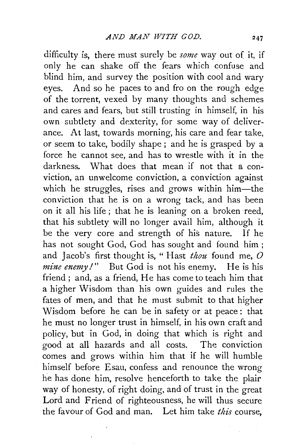difficulty is, there must surely be *some* way out of it, if only he can shake off the fears which confuse and blind him, and survey the position with cool and wary eyes. And so he paces to and fro on the rough edge of the torrent, vexed by many thoughts and schemes and cares and fears, but still trusting in himself, in his own subtlety and dexterity, for some way of deliverance. At last, towards morning, his care and fear take, or seem to take, bodily shape ; and he is grasped by a force he cannot see, and has to wrestle with it in the darkness. What does that mean if not that a conviction, an unwelcome conviction, a conviction against which he struggles, rises and grows within him-the conviction that he is on a wrong tack, and has been on it all his life ; that he is leaning on a broken reed, that his subtlety will no longer avail him, although it be the very core and strength of his nature. If he has not sought God, God has sought and found him ; and Jacob's first thought is, "Hast *thou* found me, O *mine enemy!*" But God is not his enemy. He is his friend; and, as a friend, He has come to teach him that a higher Wisdom than his own guides and rules the fates of men, and that he must submit to that higher Wisdom before he can be in safety or at peace : that he must no longer trust in himself, in his own craft and policy, but in God, in doing that which is right and good at all hazards and all costs. The conviction comes and grows within him that if he will humble himself before Esau, confess and renounce the wrong he has done him, resolve henceforth to take the plair way of honesty, of right doing, and of trust in the great Lord and Friend of righteousness, he will thus secure the favour of God and man. Let him take *this* course,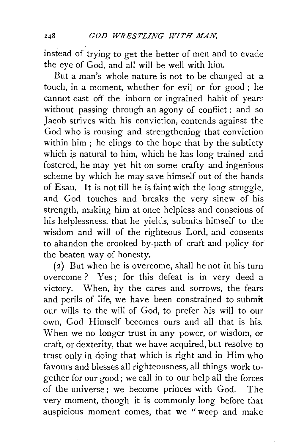instead of trying to get the better of men and to evade the eye of God, and all will be well with him.

But a man's whole nature is not to be changed at a touch, in a moment, whether for evil or for good; he cannot cast off the inborn or ingrained habit of years without passing through an agony of conflict; and so Jacob strives with his conviction, contends against the God who is rousing and strengthening that conviction within him ; he clings to the hope that by the subtlety which is natural to him, which he has long trained and fostered, he may yet hit on some crafty and ingenious scheme by which he may save himself out of the hands of Esau. It is not till he is faint with the long struggle, and God touches and breaks the very sinew of his strength, making him at once helpless and conscious of his helplessness, that he yields, submits himself to the wisdom and will of the righteous Lord, and consents to abandon the crooked by-path of craft and policy for the beaten way of honesty.

( 2) But when he is overcome, shall he not in his turn overcome ? Yes; for this defeat is in very deed a victory. When, by the cares and sorrows, the fears and perils of life, we have been constrained to submit our wills to the will of God, to prefer his will to our own, God Himself becomes ours and all that is his. When we no longer trust in any power, or wisdom, or craft, or dexterity, that we have acquired, but resolve to trust only in doing that which is right and in Him who favours and blesses all righteousness, all things work together for our good; we call in to our help all the forces of the universe ; we become princes with God. The very moment, though it is commonly long before that auspicious moment comes, that we "weep and make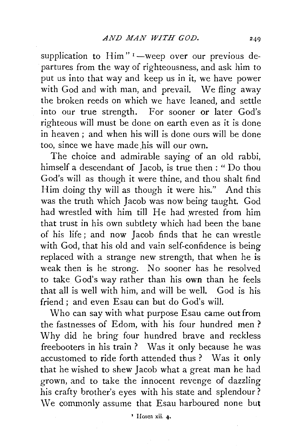supplication to Him" $I$ -weep over our previous departures from the way of righteousness, and ask him to put us into that way and keep us in it, we have power with God and with man, and prevail. We fling away the broken reeds on which we have leaned, and settle into our true strength. For sooner or later God's righteous will must be done on earth even as it is done in heaven; and when his will is done ours will be done too, since we have made his will our own.

The choice and admirable saying of an old rabbi, himself a descendant of Jacob, is true then : " Do thou God's will as though it were thine, and thou shalt find Him doing thy will as though it were his." And this was the truth which Jacob was now being taught. God had wrestled with him till He had wrested from him that trust in his own subtlety which had been the bane of his life; and now Jacob finds that he can wrestle with God, that his old and vain self-confidence is being replaced with a strange new strength, that when he is weak then is he strong. No sooner has he resolved to take God's way rather than his own than he feels that all is well with him, and will be well. God is his friend; and even Esau can but do God's will.

Who can say with what purpose Esau came out from the fastnesses of Edom, with his four hundred men ? Why did he bring four hundred brave and reckless freebooters in his train ? Was it only because he was accustomed to ride forth attended thus? Was it only that he wished to shew Jacob what a great man he had grown, and to take the innocent revenge of dazzling his crafty brother's eyes with his state and splendour? We commonly assume that Esau harboured none but

• Hosea xii. 4·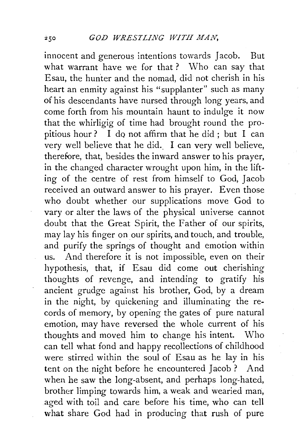innocent and generous intentions towards Jacob. But what warrant have we for that? Who can say that Esau, the hun'ter and the nomad, did not cherish in his heart an enmity against his "supplanter" such as many of his descendants have nursed through long years, and come forth from his mountain haunt to indulge it now that the whirligig of time had brought round the propitious hour ? I do not affirm that he did; but I can very well believe that he did.. I can very well believe, therefore, that, besides the inward answer to his prayer, in the changed character wrought upon him, in the lifting of the centre of rest from himself to God, Jacob received an outward answer to his prayer. Even those who doubt whether our supplications move God to vary or alter the laws of the physical universe cannot doubt that the Great Spirit, the Father of our spirits, may lay his finger on our spirits, and touch, and trouble, and purify the springs of thought and emotion within us. And therefore it is not impossible, even on their hypothesis, that, if Esau did come out cherishing thoughts of revenge, and intending to gratify his ancient grudge against his brother, God, by a dream in the night, by quickening and illuminating the records of memory, by opening the gates of pure natural emotion, may have reversed the whole current of his thoughts and moved him to change his intent. Who can tell what fond and happy recollections of childhood were stirred within the soul of Esau as he lay in his tent on the night before he encountered Jacob ? And when he saw the long-absent, and perhaps long-hated, brother limping towards him, a weak and wearied man, aged with toil and care before his time, who can tell what share God had in producing that rush of pure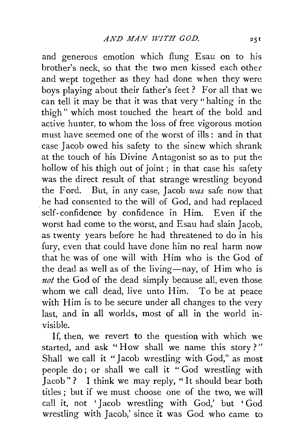and generous emotion which flung Esau on to his brother's neck, so that the two men kissed each other and wept together as they had done when they were boys playing about their father's feet? For all that we can tell it may be that it was that very" halting in the thigh" which most touched the heart of the bold and active hunter, to whom the loss of free vigorous motion must have seemed one of the worst of ills: and in that case Jacob owed his safety to the sinew which shrank at the touch of his Divine Antagonist so as to put the hollow of his thigh out of joint; in that case his safety was the direct result of that strange wrestling beyond the Ford. But, in any case, Jacob was safe now that he had consented to the will of God, and had replaced self-confidence by confidence in Him. Even if the worst had come to the worst, and Esau had slain Jacob, as twenty years before he had threatened to do in his fury, even that could have done him no real harm now that he was of one will with Him who is the God of the dead as well as of the living-nay, of Him who is not the God of the dead simply because all, even those whom we call dead, live unto Him. To be at peace with Him is to be secure under all changes to the very last, and in all worlds, most of all in the world mvisible.

If, then, we revert to the question with which we started, and ask "How shall we name this story?" Shall we call it "Jacob wrestling with God," as most people do; or shall we call it "God wrestling with Jacob"? I think we may reply, "It should bear both titles ; but if we must choose one of the two, we will call it, not 'Jacob wrestling with God,' but 'God wrestling with Jacob,' since it was God who came to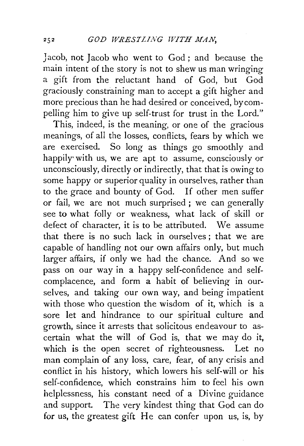Jacob, not Jacob who went to God : and because the main intent of the story is not to shew us man wringing a gift from the reluctant hand of God, but God graciously constraining man to accept a gift higher and more precious than he had desired or conceived, by compelling him to give up self-trust for trust in the Lord."

This, indeed, is the meaning, or one of the gracious meanings, of all the losses, conflicts, fears by which we are exercised. So long as things go smoothly and happily with us, we are apt to assume, consciously or unconsciously, directly or indirectly, that that is owing to some happy or superior quality in ourselves, rather than to the grace and bounty of God. If other men suffer or fail, we are not much surprised ; we can generally see to what folly or weakness, what lack of skill or defect of character, it is to be attributed. We assume that there is no such lack in ourselves; that we are capable of handling not our own affairs only, but much larger affairs, if only we had the chance. And so we pass on our way in a happy self-confidence and selfcomplacence, and form a habit of believing in ourselves, and taking our own way, and being impatient with those who question the wisdom of it, which is a sore let and hindrance to our spiritual culture and growth, since it arrests that solicitous endeavour to ascertain what the will of God is, that we may do it, which is the open secret of righteousness. Let no man complain of any loss, care, fear, of any crisis and conflict in his history, which lowers his self-will or his self-confidence, which constrains him to feel his own helplessness, his constant need of a Divine guidance and support. The very kindest thing that God can do for us, the greatest gift He can confer upon us, is, by